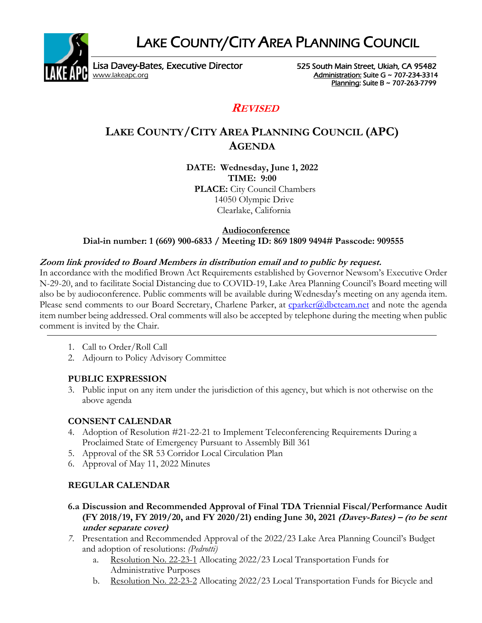LAKE COUNTY/CITY AREA PLANNING COUNCIL



Lisa Davey-Bates, Executive Director 525 South Main Street, Ukiah, CA 95482 [www.lakeapc.org](http://www.lakeapc.org/) **Administration: Suite G ~ 707-234-3314** 

Planning: Suite B ~ 707-263-7799

## **REVISED**

# **LAKE COUNTY/CITY AREA PLANNING COUNCIL (APC) AGENDA**

**DATE: Wednesday, June 1, 2022 TIME: 9:00**

**PLACE:** City Council Chambers 14050 Olympic Drive Clearlake, California

#### **Audioconference Dial-in number: 1 (669) 900-6833 / Meeting ID: 869 1809 9494# Passcode: 909555**

### **Zoom link provided to Board Members in distribution email and to public by request.**

In accordance with the modified Brown Act Requirements established by Governor Newsom's Executive Order N-29-20, and to facilitate Social Distancing due to COVID-19, Lake Area Planning Council's Board meeting will also be by audioconference. Public comments will be available during Wednesday's meeting on any agenda item. Please send comments to our Board Secretary, Charlene Parker, at [cparker@dbcteam.net](mailto:cparker@dbcteam.net) and note the agenda item number being addressed. Oral comments will also be accepted by telephone during the meeting when public comment is invited by the Chair.

- 1. Call to Order/Roll Call
- 2. Adjourn to Policy Advisory Committee

### **PUBLIC EXPRESSION**

3. Public input on any item under the jurisdiction of this agency, but which is not otherwise on the above agenda

#### **CONSENT CALENDAR**

- 4. Adoption of Resolution #21-22-21 to Implement Teleconferencing Requirements During a Proclaimed State of Emergency Pursuant to Assembly Bill 361
- 5. Approval of the SR 53 Corridor Local Circulation Plan
- 6. Approval of May 11, 2022 Minutes

### **REGULAR CALENDAR**

- **6.a Discussion and Recommended Approval of Final TDA Triennial Fiscal/Performance Audit (FY 2018/19, FY 2019/20, and FY 2020/21) ending June 30, 2021 (Davey-Bates) – (to be sent under separate cover)**
- *7.* Presentation and Recommended Approval of the 2022/23 Lake Area Planning Council's Budget and adoption of resolutions: *(Pedrotti)*
	- a. Resolution No. 22-23-1 Allocating 2022/23 Local Transportation Funds for Administrative Purposes
	- b. Resolution No. 22-23-2 Allocating 2022/23 Local Transportation Funds for Bicycle and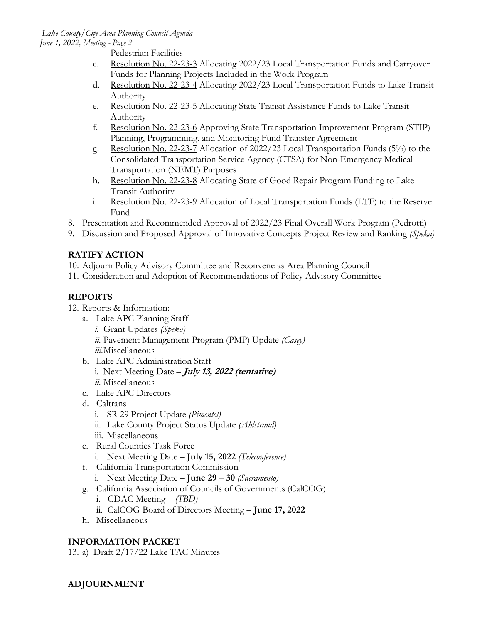Pedestrian Facilities

- c. Resolution No. 22-23-3 Allocating 2022/23 Local Transportation Funds and Carryover Funds for Planning Projects Included in the Work Program
- d. Resolution No. 22-23-4 Allocating 2022/23 Local Transportation Funds to Lake Transit Authority
- e. Resolution No. 22-23-5 Allocating State Transit Assistance Funds to Lake Transit Authority
- f. Resolution No. 22-23-6 Approving State Transportation Improvement Program (STIP) Planning, Programming, and Monitoring Fund Transfer Agreement
- g. Resolution No. 22-23-7 Allocation of 2022/23 Local Transportation Funds (5%) to the Consolidated Transportation Service Agency (CTSA) for Non-Emergency Medical Transportation (NEMT) Purposes
- h. Resolution No. 22-23-8 Allocating State of Good Repair Program Funding to Lake Transit Authority
- i. Resolution No. 22-23-9 Allocation of Local Transportation Funds (LTF) to the Reserve Fund
- 8. Presentation and Recommended Approval of 2022/23 Final Overall Work Program (Pedrotti)
- 9. Discussion and Proposed Approval of Innovative Concepts Project Review and Ranking *(Speka)*

### **RATIFY ACTION**

- 10. Adjourn Policy Advisory Committee and Reconvene as Area Planning Council
- 11. Consideration and Adoption of Recommendations of Policy Advisory Committee

### **REPORTS**

- 12. Reports & Information:
	- a. Lake APC Planning Staff
		- *i.* Grant Updates *(Speka) ii.* Pavement Management Program (PMP) Update *(Casey)*
		- *iii.*Miscellaneous
	- b. Lake APC Administration Staff
		- i. Next Meeting Date **July 13, <sup>2022</sup> (tentative)** *ii.* Miscellaneous
	- c. Lake APC Directors
	- d. Caltrans
		- i. SR 29 Project Update *(Pimentel)*
		- ii. Lake County Project Status Update *(Ahlstrand)*
		- iii. Miscellaneous
	- e. Rural Counties Task Force
		- i. Next Meeting Date **July 15, 2022** *(Teleconference)*
	- f. California Transportation Commission
		- i. Next Meeting Date **June 29 – 30** *(Sacramento)*
	- g. California Association of Councils of Governments (CalCOG)
		- i. CDAC Meeting *(TBD)*
		- ii. CalCOG Board of Directors Meeting **June 17, 2022**
	- h. Miscellaneous

## **INFORMATION PACKET**

13. a) Draft 2/17/22 Lake TAC Minutes

### **ADJOURNMENT**